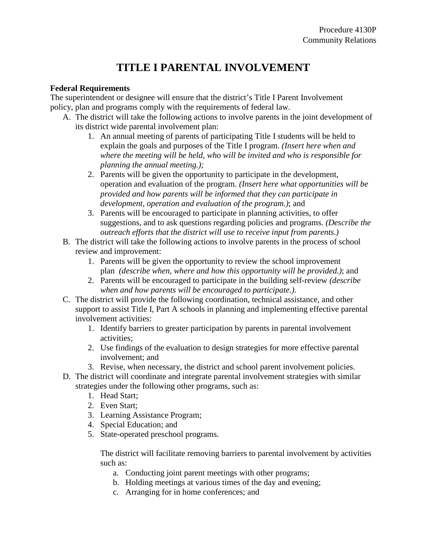## **TITLE I PARENTAL INVOLVEMENT**

## **Federal Requirements**

The superintendent or designee will ensure that the district's Title I Parent Involvement policy, plan and programs comply with the requirements of federal law.

- A. The district will take the following actions to involve parents in the joint development of its district wide parental involvement plan:
	- 1. An annual meeting of parents of participating Title I students will be held to explain the goals and purposes of the Title I program. *(Insert here when and where the meeting will be held, who will be invited and who is responsible for planning the annual meeting.);*
	- 2. Parents will be given the opportunity to participate in the development, operation and evaluation of the program. *(Insert here what opportunities will be provided and how parents will be informed that they can participate in development, operation and evaluation of the program.)*; and
	- 3. Parents will be encouraged to participate in planning activities, to offer suggestions, and to ask questions regarding policies and programs. *(Describe the outreach efforts that the district will use to receive input from parents.)*
- B. The district will take the following actions to involve parents in the process of school review and improvement:
	- 1. Parents will be given the opportunity to review the school improvement plan *(describe when, where and how this opportunity will be provided.)*; and
	- 2. Parents will be encouraged to participate in the building self-review *(describe when and how parents will be encouraged to participate.)*.
- C. The district will provide the following coordination, technical assistance, and other support to assist Title I, Part A schools in planning and implementing effective parental involvement activities:
	- 1. Identify barriers to greater participation by parents in parental involvement activities;
	- 2. Use findings of the evaluation to design strategies for more effective parental involvement; and
	- 3. Revise, when necessary, the district and school parent involvement policies.
- D. The district will coordinate and integrate parental involvement strategies with similar strategies under the following other programs, such as:
	- 1. Head Start;
	- 2. Even Start;
	- 3. Learning Assistance Program;
	- 4. Special Education; and
	- 5. State-operated preschool programs.

The district will facilitate removing barriers to parental involvement by activities such as:

- a. Conducting joint parent meetings with other programs;
- b. Holding meetings at various times of the day and evening;
- c. Arranging for in home conferences; and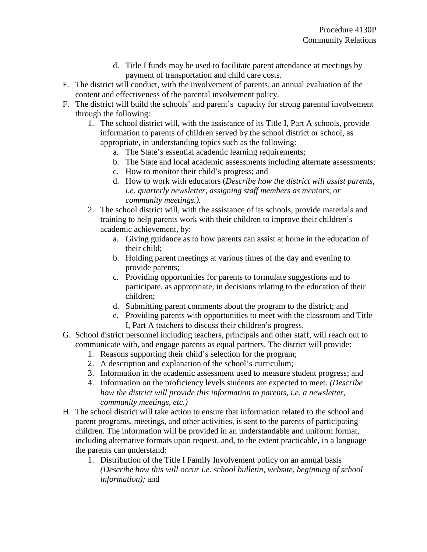- d. Title I funds may be used to facilitate parent attendance at meetings by payment of transportation and child care costs.
- E. The district will conduct, with the involvement of parents, an annual evaluation of the content and effectiveness of the parental involvement policy.
- F. The district will build the schools' and parent's capacity for strong parental involvement through the following:
	- 1. The school district will, with the assistance of its Title I, Part A schools, provide information to parents of children served by the school district or school, as appropriate, in understanding topics such as the following:
		- a. The State's essential academic learning requirements;
		- b. The State and local academic assessments including alternate assessments;
		- c. How to monitor their child's progress; and
		- d. How to work with educators (*Describe how the district will assist parents, i.e. quarterly newsletter, assigning staff members as mentors, or community meetings.).*
	- 2. The school district will, with the assistance of its schools, provide materials and training to help parents work with their children to improve their children's academic achievement, by:
		- a. Giving guidance as to how parents can assist at home in the education of their child;
		- b. Holding parent meetings at various times of the day and evening to provide parents;
		- c. Providing opportunities for parents to formulate suggestions and to participate, as appropriate, in decisions relating to the education of their children;
		- d. Submitting parent comments about the program to the district; and
		- e. Providing parents with opportunities to meet with the classroom and Title I, Part A teachers to discuss their children's progress.
- G. School district personnel including teachers, principals and other staff, will reach out to communicate with, and engage parents as equal partners. The district will provide:
	- 1. Reasons supporting their child's selection for the program;
	- 2. A description and explanation of the school's curriculum;
	- 3. Information in the academic assessment used to measure student progress; and
	- 4. Information on the proficiency levels students are expected to meet. *(Describe how the district will provide this information to parents, i.e. a newsletter, community meetings, etc.)*
- H. The school district will take action to ensure that information related to the school and parent programs, meetings, and other activities, is sent to the parents of participating children. The information will be provided in an understandable and uniform format, including alternative formats upon request, and, to the extent practicable, in a language the parents can understand:
	- 1. Distribution of the Title I Family Involvement policy on an annual basis *(Describe how this will occur i.e. school bulletin, website, beginning of school information);* and